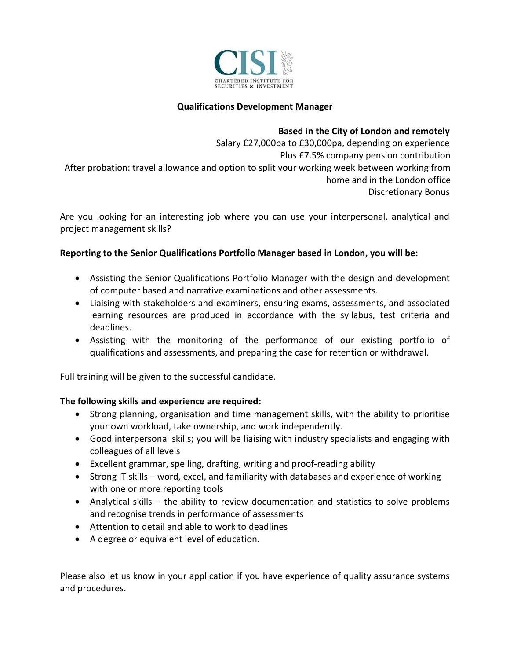

## **Qualifications Development Manager**

#### **Based in the City of London and remotely**

Salary £27,000pa to £30,000pa, depending on experience Plus £7.5% company pension contribution After probation: travel allowance and option to split your working week between working from home and in the London office Discretionary Bonus

Are you looking for an interesting job where you can use your interpersonal, analytical and project management skills?

#### **Reporting to the Senior Qualifications Portfolio Manager based in London, you will be:**

- Assisting the Senior Qualifications Portfolio Manager with the design and development of computer based and narrative examinations and other assessments.
- Liaising with stakeholders and examiners, ensuring exams, assessments, and associated learning resources are produced in accordance with the syllabus, test criteria and deadlines.
- Assisting with the monitoring of the performance of our existing portfolio of qualifications and assessments, and preparing the case for retention or withdrawal.

Full training will be given to the successful candidate.

### **The following skills and experience are required:**

- Strong planning, organisation and time management skills, with the ability to prioritise your own workload, take ownership, and work independently.
- Good interpersonal skills; you will be liaising with industry specialists and engaging with colleagues of all levels
- Excellent grammar, spelling, drafting, writing and proof-reading ability
- Strong IT skills word, excel, and familiarity with databases and experience of working with one or more reporting tools
- Analytical skills the ability to review documentation and statistics to solve problems and recognise trends in performance of assessments
- Attention to detail and able to work to deadlines
- A degree or equivalent level of education.

Please also let us know in your application if you have experience of quality assurance systems and procedures.